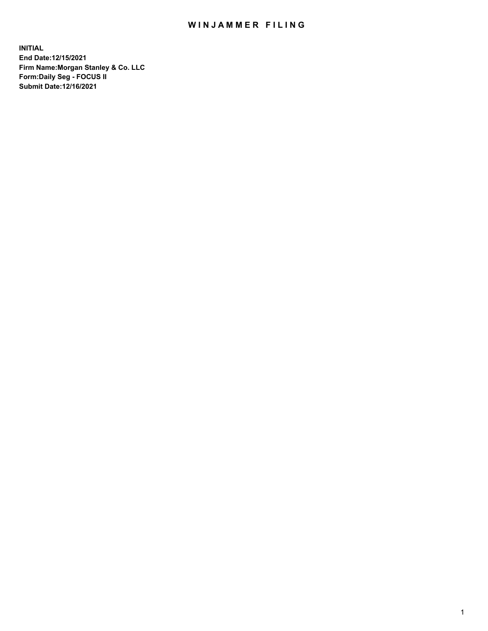## WIN JAMMER FILING

**INITIAL End Date:12/15/2021 Firm Name:Morgan Stanley & Co. LLC Form:Daily Seg - FOCUS II Submit Date:12/16/2021**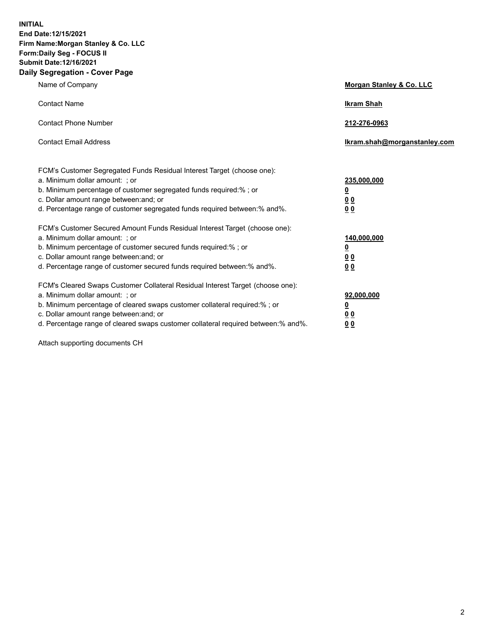**INITIAL End Date:12/15/2021 Firm Name:Morgan Stanley & Co. LLC Form:Daily Seg - FOCUS II Submit Date:12/16/2021 Daily Segregation - Cover Page**

| Name of Company                                                                                                                                                                                                                                                                                                                | Morgan Stanley & Co. LLC                                |
|--------------------------------------------------------------------------------------------------------------------------------------------------------------------------------------------------------------------------------------------------------------------------------------------------------------------------------|---------------------------------------------------------|
| <b>Contact Name</b>                                                                                                                                                                                                                                                                                                            | <b>Ikram Shah</b>                                       |
| <b>Contact Phone Number</b>                                                                                                                                                                                                                                                                                                    | 212-276-0963                                            |
| <b>Contact Email Address</b>                                                                                                                                                                                                                                                                                                   | Ikram.shah@morganstanley.com                            |
| FCM's Customer Segregated Funds Residual Interest Target (choose one):<br>a. Minimum dollar amount: ; or<br>b. Minimum percentage of customer segregated funds required:%; or<br>c. Dollar amount range between: and; or<br>d. Percentage range of customer segregated funds required between: % and %.                        | 235,000,000<br><u>0</u><br>00<br>0 Q                    |
| FCM's Customer Secured Amount Funds Residual Interest Target (choose one):<br>a. Minimum dollar amount: ; or<br>b. Minimum percentage of customer secured funds required:%; or<br>c. Dollar amount range between: and; or<br>d. Percentage range of customer secured funds required between:% and%.                            | 140,000,000<br><u>0</u><br><u>0 0</u><br>0 <sub>0</sub> |
| FCM's Cleared Swaps Customer Collateral Residual Interest Target (choose one):<br>a. Minimum dollar amount: ; or<br>b. Minimum percentage of cleared swaps customer collateral required:% ; or<br>c. Dollar amount range between: and; or<br>d. Percentage range of cleared swaps customer collateral required between:% and%. | 92,000,000<br><u>0</u><br><u>00</u><br>00               |

Attach supporting documents CH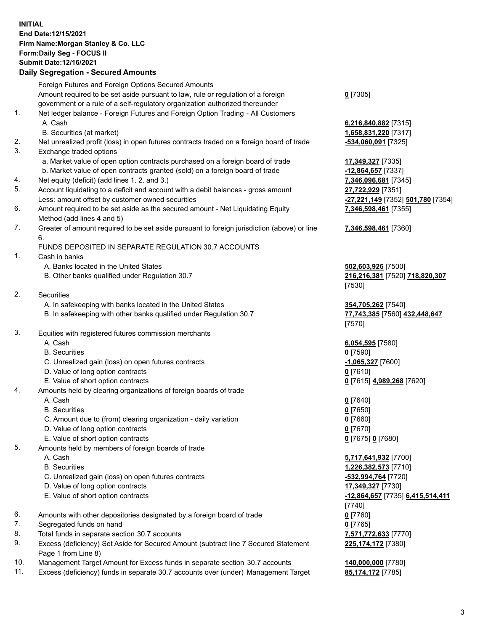## **INITIAL End Date:12/15/2021 Firm Name:Morgan Stanley & Co. LLC Form:Daily Seg - FOCUS II Submit Date:12/16/2021**

## **Daily Segregation - Secured Amounts**

|    | Foreign Futures and Foreign Options Secured Amounts<br>Amount required to be set aside pursuant to law, rule or regulation of a foreign | $0$ [7305]                        |
|----|-----------------------------------------------------------------------------------------------------------------------------------------|-----------------------------------|
|    | government or a rule of a self-regulatory organization authorized thereunder                                                            |                                   |
| 1. | Net ledger balance - Foreign Futures and Foreign Option Trading - All Customers                                                         |                                   |
|    | A. Cash                                                                                                                                 | 6,216,840,882 [7315]              |
|    | B. Securities (at market)                                                                                                               | 1,658,831,220 [7317]              |
| 2. | Net unrealized profit (loss) in open futures contracts traded on a foreign board of trade                                               | -534,060,091 [7325]               |
| 3. | Exchange traded options                                                                                                                 |                                   |
|    | a. Market value of open option contracts purchased on a foreign board of trade                                                          | 17,349,327 [7335]                 |
|    | b. Market value of open contracts granted (sold) on a foreign board of trade                                                            | -12,864,657 [7337]                |
| 4. | Net equity (deficit) (add lines 1. 2. and 3.)                                                                                           | 7,346,096,681 [7345]              |
| 5. | Account liquidating to a deficit and account with a debit balances - gross amount                                                       | 27,722,929 [7351]                 |
|    | Less: amount offset by customer owned securities                                                                                        | -27,221,149 [7352] 501,780 [7354] |
| 6. | Amount required to be set aside as the secured amount - Net Liquidating Equity                                                          | 7,346,598,461 [7355]              |
|    | Method (add lines 4 and 5)                                                                                                              |                                   |
| 7. | Greater of amount required to be set aside pursuant to foreign jurisdiction (above) or line<br>6.                                       | 7,346,598,461 [7360]              |
|    | FUNDS DEPOSITED IN SEPARATE REGULATION 30.7 ACCOUNTS                                                                                    |                                   |
| 1. | Cash in banks                                                                                                                           |                                   |
|    | A. Banks located in the United States                                                                                                   | 502,603,926 [7500]                |
|    | B. Other banks qualified under Regulation 30.7                                                                                          | 216,216,381 [7520] 718,820,307    |
|    |                                                                                                                                         | [7530]                            |
| 2. | Securities                                                                                                                              |                                   |
|    | A. In safekeeping with banks located in the United States                                                                               | 354,705,262 [7540]                |
|    | B. In safekeeping with other banks qualified under Regulation 30.7                                                                      | 77,743,385 [7560] 432,448,647     |
|    |                                                                                                                                         | [7570]                            |
| 3. | Equities with registered futures commission merchants<br>A. Cash                                                                        |                                   |
|    | <b>B.</b> Securities                                                                                                                    | 6,054,595 [7580]<br>$0$ [7590]    |
|    | C. Unrealized gain (loss) on open futures contracts                                                                                     | $-1,065,327$ [7600]               |
|    | D. Value of long option contracts                                                                                                       | $0$ [7610]                        |
|    | E. Value of short option contracts                                                                                                      | 0 [7615] 4,989,268 [7620]         |
| 4. | Amounts held by clearing organizations of foreign boards of trade                                                                       |                                   |
|    | A. Cash                                                                                                                                 | $0$ [7640]                        |
|    | <b>B.</b> Securities                                                                                                                    | $0$ [7650]                        |
|    | C. Amount due to (from) clearing organization - daily variation                                                                         | $0$ [7660]                        |
|    | D. Value of long option contracts                                                                                                       | $0$ [7670]                        |
|    | E. Value of short option contracts                                                                                                      | 0 [7675] 0 [7680]                 |
| 5. | Amounts held by members of foreign boards of trade                                                                                      |                                   |
|    | A. Cash                                                                                                                                 | 5,717,641,932 [7700]              |
|    | <b>B.</b> Securities                                                                                                                    | 1,226,382,573 [7710]              |
|    | C. Unrealized gain (loss) on open futures contracts                                                                                     | -532,994,764 [7720]               |
|    | D. Value of long option contracts                                                                                                       | 17,349,327 [7730]                 |
|    | E. Value of short option contracts                                                                                                      | -12,864,657 [7735] 6,415,514,411  |
|    |                                                                                                                                         | [7740]                            |
| 6. | Amounts with other depositories designated by a foreign board of trade                                                                  | $0$ [7760]                        |
| 7. | Segregated funds on hand                                                                                                                | $0$ [7765]                        |
| 8. | Total funds in separate section 30.7 accounts                                                                                           | 7,571,772,633 [7770]              |
| 9. | Excess (deficiency) Set Aside for Secured Amount (subtract line 7 Secured Statement<br>Page 1 from Line 8)                              | 225, 174, 172 [7380]              |

- 10. Management Target Amount for Excess funds in separate section 30.7 accounts **140,000,000** [7780]
- 11. Excess (deficiency) funds in separate 30.7 accounts over (under) Management Target **85,174,172** [7785]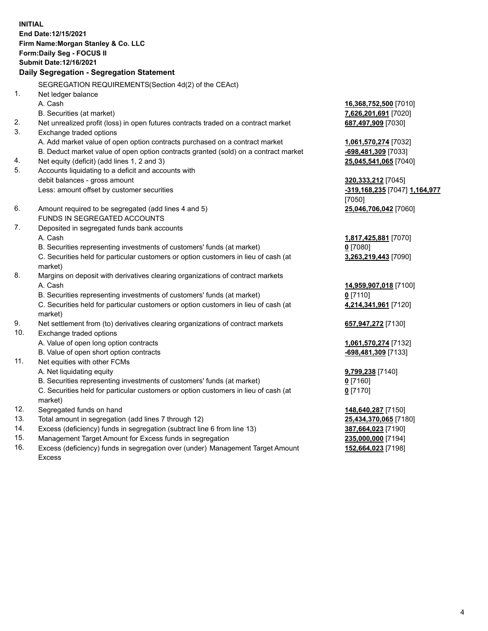**INITIAL End Date:12/15/2021 Firm Name:Morgan Stanley & Co. LLC Form:Daily Seg - FOCUS II Submit Date:12/16/2021 Daily Segregation - Segregation Statement** SEGREGATION REQUIREMENTS(Section 4d(2) of the CEAct) 1. Net ledger balance A. Cash **16,368,752,500** [7010] B. Securities (at market) **7,626,201,691** [7020] 2. Net unrealized profit (loss) in open futures contracts traded on a contract market **687,497,909** [7030] 3. Exchange traded options A. Add market value of open option contracts purchased on a contract market **1,061,570,274** [7032] B. Deduct market value of open option contracts granted (sold) on a contract market **-698,481,309** [7033] 4. Net equity (deficit) (add lines 1, 2 and 3) **25,045,541,065** [7040] 5. Accounts liquidating to a deficit and accounts with debit balances - gross amount **320,333,212** [7045] Less: amount offset by customer securities **-319,168,235** [7047] **1,164,977** [7050] 6. Amount required to be segregated (add lines 4 and 5) **25,046,706,042** [7060] FUNDS IN SEGREGATED ACCOUNTS 7. Deposited in segregated funds bank accounts A. Cash **1,817,425,881** [7070] B. Securities representing investments of customers' funds (at market) **0** [7080] C. Securities held for particular customers or option customers in lieu of cash (at market) **3,263,219,443** [7090] 8. Margins on deposit with derivatives clearing organizations of contract markets A. Cash **14,959,907,018** [7100] B. Securities representing investments of customers' funds (at market) **0** [7110] C. Securities held for particular customers or option customers in lieu of cash (at market) **4,214,341,961** [7120] 9. Net settlement from (to) derivatives clearing organizations of contract markets **657,947,272** [7130] 10. Exchange traded options A. Value of open long option contracts **1,061,570,274** [7132] B. Value of open short option contracts **-698,481,309** [7133] 11. Net equities with other FCMs A. Net liquidating equity **9,799,238** [7140] B. Securities representing investments of customers' funds (at market) **0** [7160] C. Securities held for particular customers or option customers in lieu of cash (at market) **0** [7170] 12. Segregated funds on hand **148,640,287** [7150] 13. Total amount in segregation (add lines 7 through 12) **25,434,370,065** [7180] 14. Excess (deficiency) funds in segregation (subtract line 6 from line 13) **387,664,023** [7190] 15. Management Target Amount for Excess funds in segregation **235,000,000** [7194]

16. Excess (deficiency) funds in segregation over (under) Management Target Amount Excess

**152,664,023** [7198]